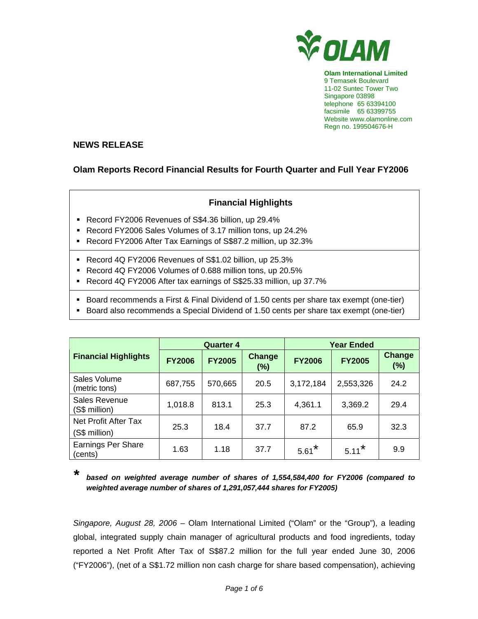

**Olam International Limited**  9 Temasek Boulevard 11-02 Suntec Tower Two Singapore 03898 telephone 65 63394100 facsimile 65 63399755 Website www.olamonline.com Regn no. 199504676-H

### **NEWS RELEASE**

# **Olam Reports Record Financial Results for Fourth Quarter and Full Year FY2006**

# **Financial Highlights**

- Record FY2006 Revenues of S\$4.36 billion, up 29.4%
- Record FY2006 Sales Volumes of 3.17 million tons, up 24.2%
- Record FY2006 After Tax Earnings of S\$87.2 million, up 32.3%
- Record 4Q FY2006 Revenues of S\$1.02 billion, up 25.3%
- Record 4Q FY2006 Volumes of 0.688 million tons, up 20.5%
- Record 4Q FY2006 After tax earnings of S\$25.33 million, up 37.7%
- Board recommends a First & Final Dividend of 1.50 cents per share tax exempt (one-tier)
- Board also recommends a Special Dividend of 1.50 cents per share tax exempt (one-tier)

|                                       |               | <b>Quarter 4</b> |                         | <b>Year Ended</b>   |                     |                      |  |
|---------------------------------------|---------------|------------------|-------------------------|---------------------|---------------------|----------------------|--|
| <b>Financial Highlights</b>           | <b>FY2006</b> | <b>FY2005</b>    | <b>Change</b><br>$(\%)$ | <b>FY2006</b>       | <b>FY2005</b>       | <b>Change</b><br>(%) |  |
| Sales Volume<br>(metric tons)         | 687,755       | 570,665          | 20.5                    | 3,172,184           | 2,553,326           | 24.2                 |  |
| Sales Revenue<br>(S\$ million)        | 1,018.8       | 813.1            | 25.3                    | 4,361.1             | 3,369.2             | 29.4                 |  |
| Net Profit After Tax<br>(S\$ million) | 25.3          | 18.4             | 37.7                    | 87.2                | 65.9                | 32.3                 |  |
| <b>Earnings Per Share</b><br>(cents)  | 1.63          | 1.18             | 37.7                    | $5.61$ <sup>*</sup> | $5.11$ <sup>*</sup> | 9.9                  |  |

*\* based on weighted average number of shares of 1,554,584,400 for FY2006 (compared to weighted average number of shares of 1,291,057,444 shares for FY2005)* 

*Singapore, August 28, 2006 –* Olam International Limited ("Olam" or the "Group"), a leading global, integrated supply chain manager of agricultural products and food ingredients, today reported a Net Profit After Tax of S\$87.2 million for the full year ended June 30, 2006 ("FY2006"), (net of a S\$1.72 million non cash charge for share based compensation), achieving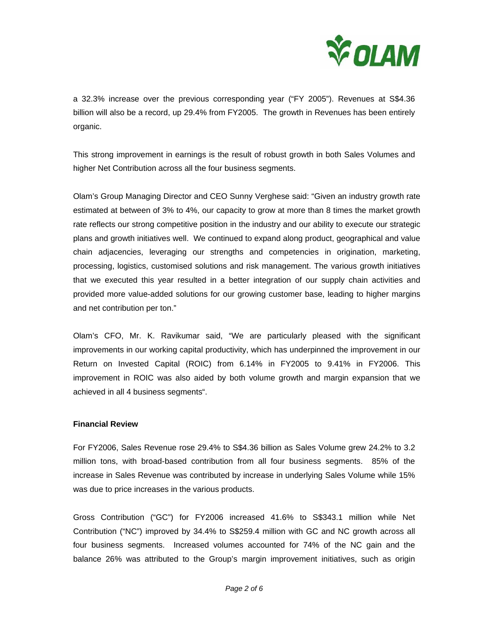

a 32.3% increase over the previous corresponding year ("FY 2005"). Revenues at S\$4.36 billion will also be a record, up 29.4% from FY2005. The growth in Revenues has been entirely organic.

This strong improvement in earnings is the result of robust growth in both Sales Volumes and higher Net Contribution across all the four business segments.

Olam's Group Managing Director and CEO Sunny Verghese said: "Given an industry growth rate estimated at between of 3% to 4%, our capacity to grow at more than 8 times the market growth rate reflects our strong competitive position in the industry and our ability to execute our strategic plans and growth initiatives well. We continued to expand along product, geographical and value chain adjacencies, leveraging our strengths and competencies in origination, marketing, processing, logistics, customised solutions and risk management. The various growth initiatives that we executed this year resulted in a better integration of our supply chain activities and provided more value-added solutions for our growing customer base, leading to higher margins and net contribution per ton."

Olam's CFO, Mr. K. Ravikumar said, "We are particularly pleased with the significant improvements in our working capital productivity, which has underpinned the improvement in our Return on Invested Capital (ROIC) from 6.14% in FY2005 to 9.41% in FY2006. This improvement in ROIC was also aided by both volume growth and margin expansion that we achieved in all 4 business segments".

#### **Financial Review**

For FY2006, Sales Revenue rose 29.4% to S\$4.36 billion as Sales Volume grew 24.2% to 3.2 million tons, with broad-based contribution from all four business segments. 85% of the increase in Sales Revenue was contributed by increase in underlying Sales Volume while 15% was due to price increases in the various products.

Gross Contribution ("GC") for FY2006 increased 41.6% to S\$343.1 million while Net Contribution ("NC") improved by 34.4% to S\$259.4 million with GC and NC growth across all four business segments. Increased volumes accounted for 74% of the NC gain and the balance 26% was attributed to the Group's margin improvement initiatives, such as origin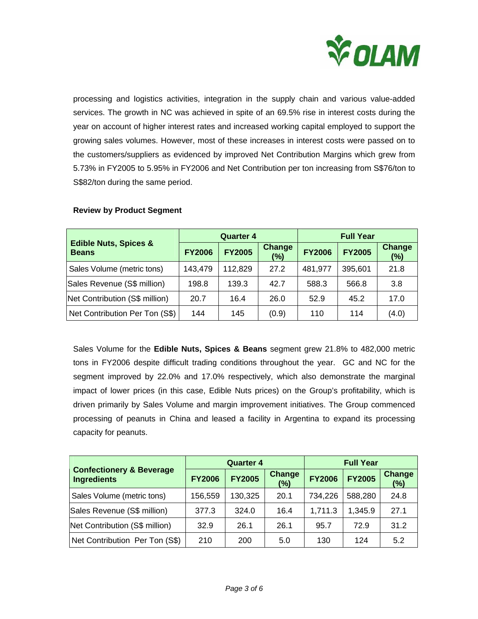

processing and logistics activities, integration in the supply chain and various value-added services. The growth in NC was achieved in spite of an 69.5% rise in interest costs during the year on account of higher interest rates and increased working capital employed to support the growing sales volumes. However, most of these increases in interest costs were passed on to the customers/suppliers as evidenced by improved Net Contribution Margins which grew from 5.73% in FY2005 to 5.95% in FY2006 and Net Contribution per ton increasing from S\$76/ton to S\$82/ton during the same period.

|                                                  |               | <b>Quarter 4</b> |                      | <b>Full Year</b> |               |                      |
|--------------------------------------------------|---------------|------------------|----------------------|------------------|---------------|----------------------|
| <b>Edible Nuts, Spices &amp;</b><br><b>Beans</b> | <b>FY2006</b> | <b>FY2005</b>    | <b>Change</b><br>(%) | <b>FY2006</b>    | <b>FY2005</b> | <b>Change</b><br>(%) |
| Sales Volume (metric tons)                       | 143,479       | 112,829          | 27.2                 | 481,977          | 395,601       | 21.8                 |
| Sales Revenue (S\$ million)                      | 198.8         | 139.3            | 42.7                 | 588.3            | 566.8         | 3.8                  |
| Net Contribution (S\$ million)                   | 20.7          | 16.4             | 26.0                 | 52.9             | 45.2          | 17.0                 |
| Net Contribution Per Ton (S\$)                   | 144           | 145              | (0.9)                | 110              | 114           | (4.0)                |

### **Review by Product Segment**

Sales Volume for the **Edible Nuts, Spices & Beans** segment grew 21.8% to 482,000 metric tons in FY2006 despite difficult trading conditions throughout the year. GC and NC for the segment improved by 22.0% and 17.0% respectively, which also demonstrate the marginal impact of lower prices (in this case, Edible Nuts prices) on the Group's profitability, which is driven primarily by Sales Volume and margin improvement initiatives. The Group commenced processing of peanuts in China and leased a facility in Argentina to expand its processing capacity for peanuts.

|                                                           |               | <b>Quarter 4</b> |                      | <b>Full Year</b> |               |                      |
|-----------------------------------------------------------|---------------|------------------|----------------------|------------------|---------------|----------------------|
| <b>Confectionery &amp; Beverage</b><br><b>Ingredients</b> | <b>FY2006</b> | <b>FY2005</b>    | <b>Change</b><br>(%) | <b>FY2006</b>    | <b>FY2005</b> | <b>Change</b><br>(%) |
| Sales Volume (metric tons)                                | 156,559       | 130,325          | 20.1                 | 734,226          | 588,280       | 24.8                 |
| Sales Revenue (S\$ million)                               | 377.3         | 324.0            | 16.4                 | 1,711.3          | 1,345.9       | 27.1                 |
| Net Contribution (S\$ million)                            | 32.9          | 26.1             | 26.1                 | 95.7             | 72.9          | 31.2                 |
| Net Contribution Per Ton (S\$)                            | 210           | 200              | 5.0                  | 130              | 124           | 5.2                  |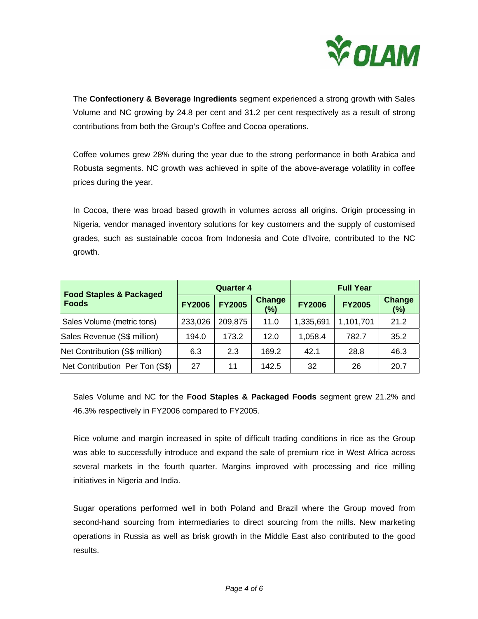

The **Confectionery & Beverage Ingredients** segment experienced a strong growth with Sales Volume and NC growing by 24.8 per cent and 31.2 per cent respectively as a result of strong contributions from both the Group's Coffee and Cocoa operations.

Coffee volumes grew 28% during the year due to the strong performance in both Arabica and Robusta segments. NC growth was achieved in spite of the above-average volatility in coffee prices during the year.

In Cocoa, there was broad based growth in volumes across all origins. Origin processing in Nigeria, vendor managed inventory solutions for key customers and the supply of customised grades, such as sustainable cocoa from Indonesia and Cote d'Ivoire, contributed to the NC growth.

| <b>Food Staples &amp; Packaged</b> |               | <b>Quarter 4</b> |                      | <b>Full Year</b> |               |                         |  |
|------------------------------------|---------------|------------------|----------------------|------------------|---------------|-------------------------|--|
| <b>Foods</b>                       | <b>FY2006</b> | <b>FY2005</b>    | <b>Change</b><br>(%) | <b>FY2006</b>    | <b>FY2005</b> | <b>Change</b><br>$(\%)$ |  |
| Sales Volume (metric tons)         | 233,026       | 209,875          | 11.0                 | 1,335,691        | 1,101,701     | 21.2                    |  |
| Sales Revenue (S\$ million)        | 194.0         | 173.2            | 12.0                 | 1,058.4          | 782.7         | 35.2                    |  |
| Net Contribution (S\$ million)     | 6.3           | 2.3              | 169.2                | 42.1             | 28.8          | 46.3                    |  |
| Net Contribution Per Ton (S\$)     | 27            | 11               | 142.5                | 32               | 26            | 20.7                    |  |

Sales Volume and NC for the **Food Staples & Packaged Foods** segment grew 21.2% and 46.3% respectively in FY2006 compared to FY2005.

Rice volume and margin increased in spite of difficult trading conditions in rice as the Group was able to successfully introduce and expand the sale of premium rice in West Africa across several markets in the fourth quarter. Margins improved with processing and rice milling initiatives in Nigeria and India.

Sugar operations performed well in both Poland and Brazil where the Group moved from second-hand sourcing from intermediaries to direct sourcing from the mills. New marketing operations in Russia as well as brisk growth in the Middle East also contributed to the good results.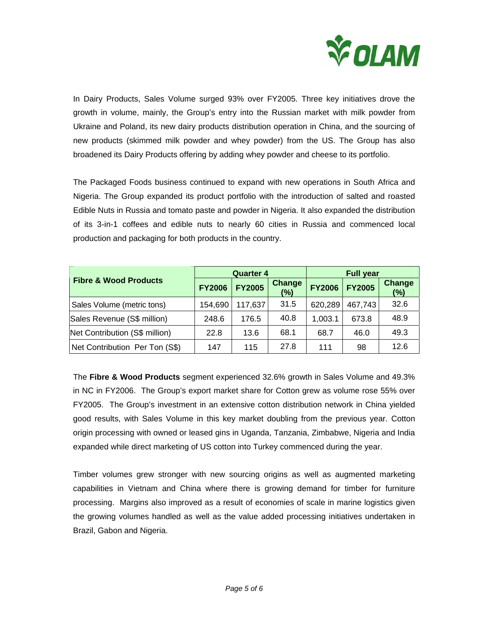

In Dairy Products, Sales Volume surged 93% over FY2005. Three key initiatives drove the growth in volume, mainly, the Group's entry into the Russian market with milk powder from Ukraine and Poland, its new dairy products distribution operation in China, and the sourcing of new products (skimmed milk powder and whey powder) from the US. The Group has also broadened its Dairy Products offering by adding whey powder and cheese to its portfolio.

The Packaged Foods business continued to expand with new operations in South Africa and Nigeria. The Group expanded its product portfolio with the introduction of salted and roasted Edible Nuts in Russia and tomato paste and powder in Nigeria. It also expanded the distribution of its 3-in-1 coffees and edible nuts to nearly 60 cities in Russia and commenced local production and packaging for both products in the country.

|                                  |               | <b>Quarter 4</b> |                      | <b>Full year</b> |               |                         |
|----------------------------------|---------------|------------------|----------------------|------------------|---------------|-------------------------|
| <b>Fibre &amp; Wood Products</b> | <b>FY2006</b> | <b>FY2005</b>    | <b>Change</b><br>(%) | <b>FY2006</b>    | <b>FY2005</b> | <b>Change</b><br>$(\%)$ |
| Sales Volume (metric tons)       | 154,690       | 117,637          | 31.5                 | 620,289          | 467,743       | 32.6                    |
| Sales Revenue (S\$ million)      | 248.6         | 176.5            | 40.8                 | 1,003.1          | 673.8         | 48.9                    |
| Net Contribution (S\$ million)   | 22.8          | 13.6             | 68.1                 | 68.7             | 46.0          | 49.3                    |
| Net Contribution Per Ton (S\$)   | 147           | 115              | 27.8                 | 111              | 98            | 12.6                    |

The **Fibre & Wood Products** segment experienced 32.6% growth in Sales Volume and 49.3% in NC in FY2006. The Group's export market share for Cotton grew as volume rose 55% over FY2005. The Group's investment in an extensive cotton distribution network in China yielded good results, with Sales Volume in this key market doubling from the previous year. Cotton origin processing with owned or leased gins in Uganda, Tanzania, Zimbabwe, Nigeria and India expanded while direct marketing of US cotton into Turkey commenced during the year.

Timber volumes grew stronger with new sourcing origins as well as augmented marketing capabilities in Vietnam and China where there is growing demand for timber for furniture processing. Margins also improved as a result of economies of scale in marine logistics given the growing volumes handled as well as the value added processing initiatives undertaken in Brazil, Gabon and Nigeria.